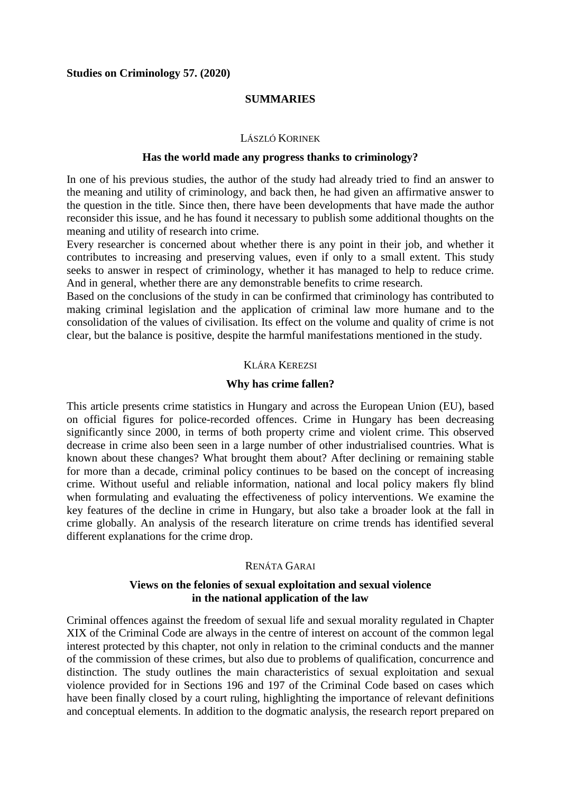### **SUMMARIES**

#### LÁSZLÓ KORINEK

#### **Has the world made any progress thanks to criminology?**

In one of his previous studies, the author of the study had already tried to find an answer to the meaning and utility of criminology, and back then, he had given an affirmative answer to the question in the title. Since then, there have been developments that have made the author reconsider this issue, and he has found it necessary to publish some additional thoughts on the meaning and utility of research into crime.

Every researcher is concerned about whether there is any point in their job, and whether it contributes to increasing and preserving values, even if only to a small extent. This study seeks to answer in respect of criminology, whether it has managed to help to reduce crime. And in general, whether there are any demonstrable benefits to crime research.

Based on the conclusions of the study in can be confirmed that criminology has contributed to making criminal legislation and the application of criminal law more humane and to the consolidation of the values of civilisation. Its effect on the volume and quality of crime is not clear, but the balance is positive, despite the harmful manifestations mentioned in the study.

#### KLÁRA KEREZSI

#### **Why has crime fallen?**

This article presents crime statistics in Hungary and across the European Union (EU), based on official figures for police-recorded offences. Crime in Hungary has been decreasing significantly since 2000, in terms of both property crime and violent crime. This observed decrease in crime also been seen in a large number of other industrialised countries. What is known about these changes? What brought them about? After declining or remaining stable for more than a decade, criminal policy continues to be based on the concept of increasing crime. Without useful and reliable information, national and local policy makers fly blind when formulating and evaluating the effectiveness of policy interventions. We examine the key features of the decline in crime in Hungary, but also take a broader look at the fall in crime globally. An analysis of the research literature on crime trends has identified several different explanations for the crime drop.

### RENÁTA GARAI

### **Views on the felonies of sexual exploitation and sexual violence in the national application of the law**

Criminal offences against the freedom of sexual life and sexual morality regulated in Chapter XIX of the Criminal Code are always in the centre of interest on account of the common legal interest protected by this chapter, not only in relation to the criminal conducts and the manner of the commission of these crimes, but also due to problems of qualification, concurrence and distinction. The study outlines the main characteristics of sexual exploitation and sexual violence provided for in Sections 196 and 197 of the Criminal Code based on cases which have been finally closed by a court ruling, highlighting the importance of relevant definitions and conceptual elements. In addition to the dogmatic analysis, the research report prepared on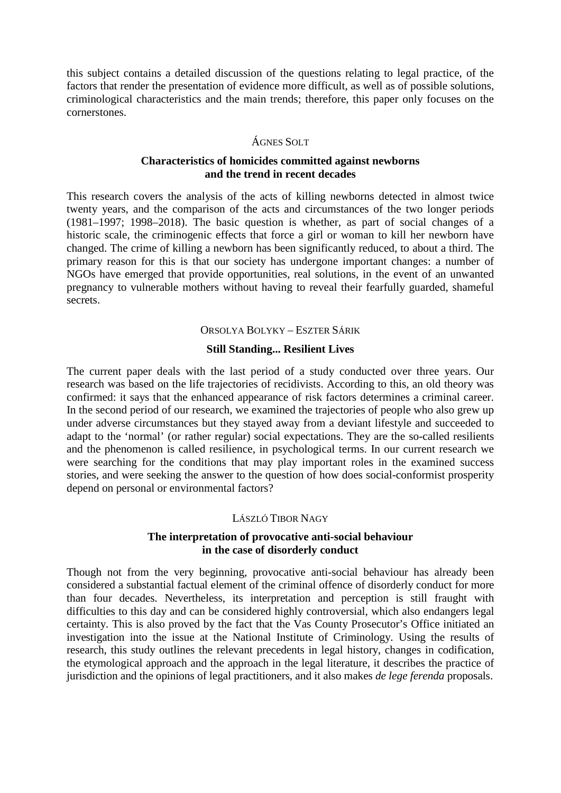this subject contains a detailed discussion of the questions relating to legal practice, of the factors that render the presentation of evidence more difficult, as well as of possible solutions, criminological characteristics and the main trends; therefore, this paper only focuses on the cornerstones.

# ÁGNES SOLT

### **Characteristics of homicides committed against newborns and the trend in recent decades**

This research covers the analysis of the acts of killing newborns detected in almost twice twenty years, and the comparison of the acts and circumstances of the two longer periods (1981–1997; 1998–2018). The basic question is whether, as part of social changes of a historic scale, the criminogenic effects that force a girl or woman to kill her newborn have changed. The crime of killing a newborn has been significantly reduced, to about a third. The primary reason for this is that our society has undergone important changes: a number of NGOs have emerged that provide opportunities, real solutions, in the event of an unwanted pregnancy to vulnerable mothers without having to reveal their fearfully guarded, shameful secrets.

#### ORSOLYA BOLYKY – ESZTER SÁRIK

### **Still Standing... Resilient Lives**

The current paper deals with the last period of a study conducted over three years. Our research was based on the life trajectories of recidivists. According to this, an old theory was confirmed: it says that the enhanced appearance of risk factors determines a criminal career. In the second period of our research, we examined the trajectories of people who also grew up under adverse circumstances but they stayed away from a deviant lifestyle and succeeded to adapt to the 'normal' (or rather regular) social expectations. They are the so-called resilients and the phenomenon is called resilience, in psychological terms. In our current research we were searching for the conditions that may play important roles in the examined success stories, and were seeking the answer to the question of how does social-conformist prosperity depend on personal or environmental factors?

#### LÁSZLÓ TIBOR NAGY

### **The interpretation of provocative anti-social behaviour in the case of disorderly conduct**

Though not from the very beginning, provocative anti-social behaviour has already been considered a substantial factual element of the criminal offence of disorderly conduct for more than four decades. Nevertheless, its interpretation and perception is still fraught with difficulties to this day and can be considered highly controversial, which also endangers legal certainty. This is also proved by the fact that the Vas County Prosecutor's Office initiated an investigation into the issue at the National Institute of Criminology. Using the results of research, this study outlines the relevant precedents in legal history, changes in codification, the etymological approach and the approach in the legal literature, it describes the practice of jurisdiction and the opinions of legal practitioners, and it also makes *de lege ferenda* proposals.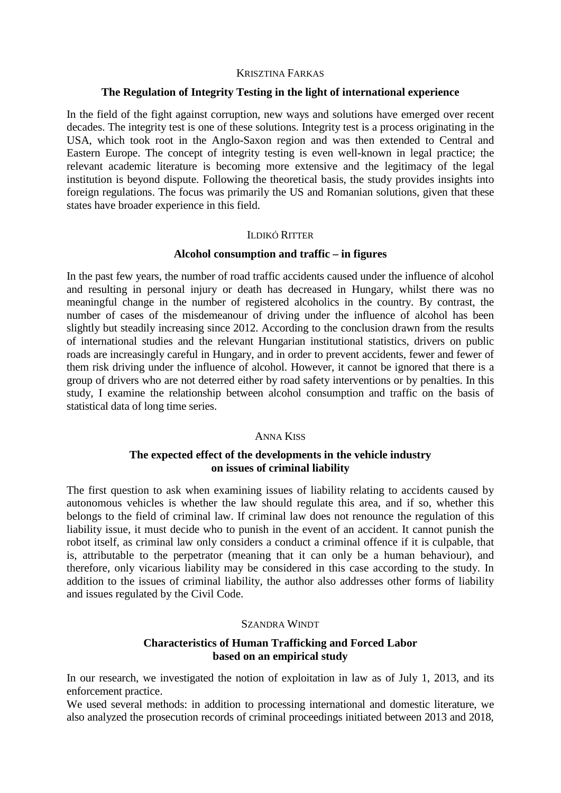#### KRISZTINA FARKAS

#### **The Regulation of Integrity Testing in the light of international experience**

In the field of the fight against corruption, new ways and solutions have emerged over recent decades. The integrity test is one of these solutions. Integrity test is a process originating in the USA, which took root in the Anglo-Saxon region and was then extended to Central and Eastern Europe. The concept of integrity testing is even well-known in legal practice; the relevant academic literature is becoming more extensive and the legitimacy of the legal institution is beyond dispute. Following the theoretical basis, the study provides insights into foreign regulations. The focus was primarily the US and Romanian solutions, given that these states have broader experience in this field.

#### ILDIKÓ RITTER

### **Alcohol consumption and traffic – in figures**

In the past few years, the number of road traffic accidents caused under the influence of alcohol and resulting in personal injury or death has decreased in Hungary, whilst there was no meaningful change in the number of registered alcoholics in the country. By contrast, the number of cases of the misdemeanour of driving under the influence of alcohol has been slightly but steadily increasing since 2012. According to the conclusion drawn from the results of international studies and the relevant Hungarian institutional statistics, drivers on public roads are increasingly careful in Hungary, and in order to prevent accidents, fewer and fewer of them risk driving under the influence of alcohol. However, it cannot be ignored that there is a group of drivers who are not deterred either by road safety interventions or by penalties. In this study, I examine the relationship between alcohol consumption and traffic on the basis of statistical data of long time series.

### ANNA KISS

# **The expected effect of the developments in the vehicle industry on issues of criminal liability**

The first question to ask when examining issues of liability relating to accidents caused by autonomous vehicles is whether the law should regulate this area, and if so, whether this belongs to the field of criminal law. If criminal law does not renounce the regulation of this liability issue, it must decide who to punish in the event of an accident. It cannot punish the robot itself, as criminal law only considers a conduct a criminal offence if it is culpable, that is, attributable to the perpetrator (meaning that it can only be a human behaviour), and therefore, only vicarious liability may be considered in this case according to the study. In addition to the issues of criminal liability, the author also addresses other forms of liability and issues regulated by the Civil Code.

### SZANDRA WINDT

### **Characteristics of Human Trafficking and Forced Labor based on an empirical study**

In our research, we investigated the notion of exploitation in law as of July 1, 2013, and its enforcement practice.

We used several methods: in addition to processing international and domestic literature, we also analyzed the prosecution records of criminal proceedings initiated between 2013 and 2018,